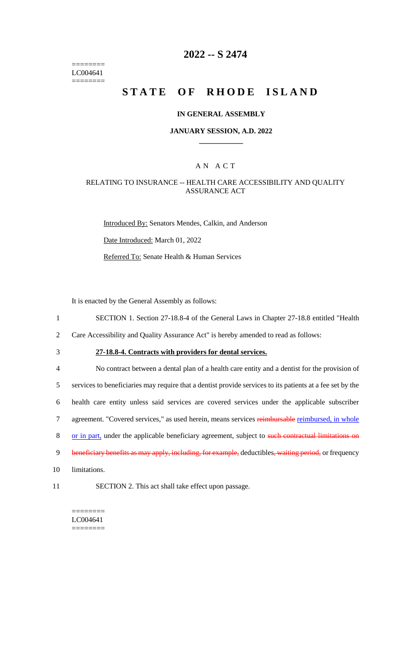======== LC004641 ========

# **2022 -- S 2474**

# **STATE OF RHODE ISLAND**

#### **IN GENERAL ASSEMBLY**

#### **JANUARY SESSION, A.D. 2022 \_\_\_\_\_\_\_\_\_\_\_\_**

### A N A C T

### RELATING TO INSURANCE -- HEALTH CARE ACCESSIBILITY AND QUALITY ASSURANCE ACT

Introduced By: Senators Mendes, Calkin, and Anderson

Date Introduced: March 01, 2022

Referred To: Senate Health & Human Services

It is enacted by the General Assembly as follows:

- 1 SECTION 1. Section 27-18.8-4 of the General Laws in Chapter 27-18.8 entitled "Health
- 2 Care Accessibility and Quality Assurance Act" is hereby amended to read as follows:
- 

# 3 **27-18.8-4. Contracts with providers for dental services.**

4 No contract between a dental plan of a health care entity and a dentist for the provision of 5 services to beneficiaries may require that a dentist provide services to its patients at a fee set by the 6 health care entity unless said services are covered services under the applicable subscriber 7 agreement. "Covered services," as used herein, means services reimbursable reimbursed, in whole 8 or in part, under the applicable beneficiary agreement, subject to such contractual limitations on 9 beneficiary benefits as may apply, including, for example, deductibles, waiting period, or frequency 10 limitations.

11 SECTION 2. This act shall take effect upon passage.

======== LC004641 ========